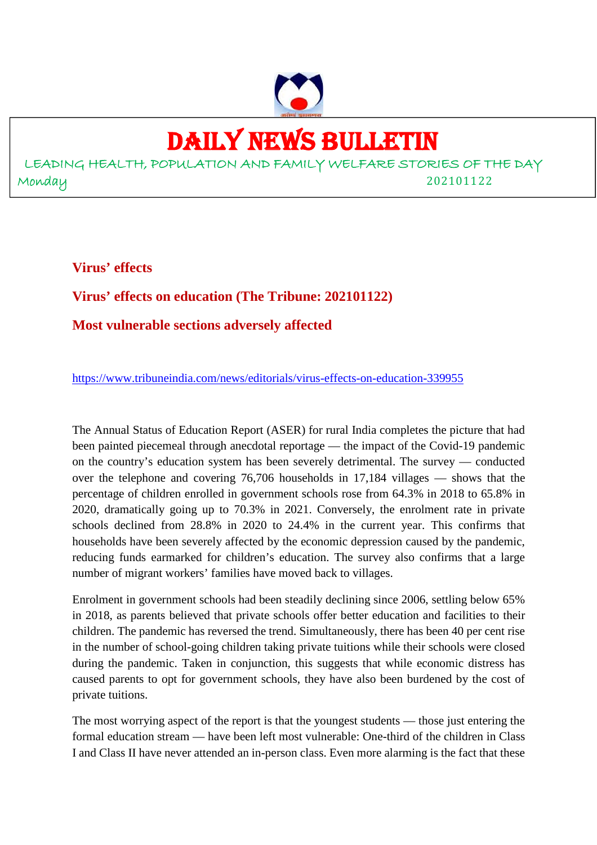

# DAILY NEWS BULLETIN

LEADING HEALTH, POPULATION AND FAMILY WELFARE STORIES OF THE DAY Monday 202101122

**Virus' effects**

**Virus' effects on education (The Tribune: 202101122)**

**Most vulnerable sections adversely affected**

https://www.tribuneindia.com/news/editorials/virus-effects-on-education-339955

The Annual Status of Education Report (ASER) for rural India completes the picture that had been painted piecemeal through anecdotal reportage — the impact of the Covid-19 pandemic on the country's education system has been severely detrimental. The survey — conducted over the telephone and covering 76,706 households in 17,184 villages — shows that the percentage of children enrolled in government schools rose from 64.3% in 2018 to 65.8% in 2020, dramatically going up to 70.3% in 2021. Conversely, the enrolment rate in private schools declined from 28.8% in 2020 to 24.4% in the current year. This confirms that households have been severely affected by the economic depression caused by the pandemic, reducing funds earmarked for children's education. The survey also confirms that a large number of migrant workers' families have moved back to villages.

Enrolment in government schools had been steadily declining since 2006, settling below 65% in 2018, as parents believed that private schools offer better education and facilities to their children. The pandemic has reversed the trend. Simultaneously, there has been 40 per cent rise in the number of school-going children taking private tuitions while their schools were closed during the pandemic. Taken in conjunction, this suggests that while economic distress has caused parents to opt for government schools, they have also been burdened by the cost of private tuitions.

The most worrying aspect of the report is that the youngest students — those just entering the formal education stream — have been left most vulnerable: One-third of the children in Class I and Class II have never attended an in-person class. Even more alarming is the fact that these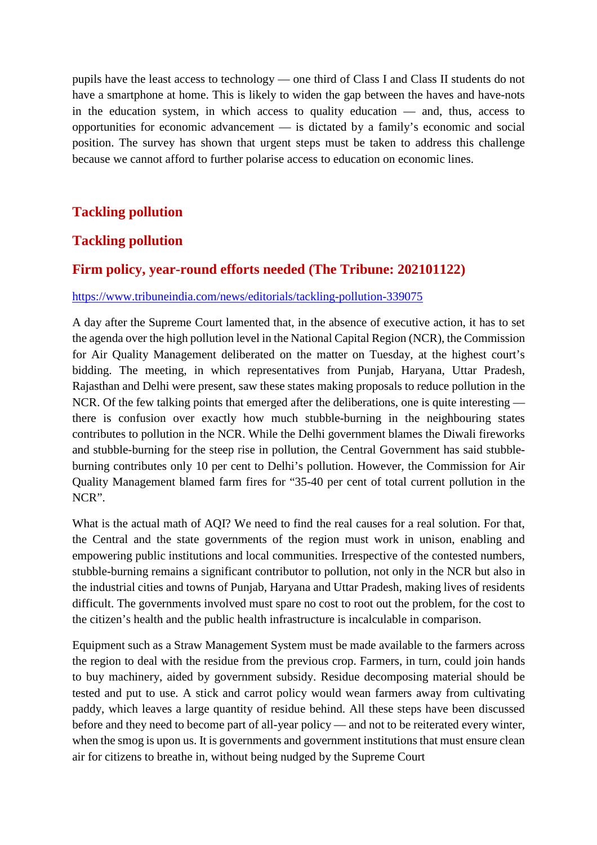pupils have the least access to technology — one third of Class I and Class II students do not have a smartphone at home. This is likely to widen the gap between the haves and have-nots in the education system, in which access to quality education — and, thus, access to opportunities for economic advancement — is dictated by a family's economic and social position. The survey has shown that urgent steps must be taken to address this challenge because we cannot afford to further polarise access to education on economic lines.

# **Tackling pollution**

## **Tackling pollution**

#### **Firm policy, year-round efforts needed (The Tribune: 202101122)**

#### https://www.tribuneindia.com/news/editorials/tackling-pollution-339075

A day after the Supreme Court lamented that, in the absence of executive action, it has to set the agenda over the high pollution level in the National Capital Region (NCR), the Commission for Air Quality Management deliberated on the matter on Tuesday, at the highest court's bidding. The meeting, in which representatives from Punjab, Haryana, Uttar Pradesh, Rajasthan and Delhi were present, saw these states making proposals to reduce pollution in the NCR. Of the few talking points that emerged after the deliberations, one is quite interesting there is confusion over exactly how much stubble-burning in the neighbouring states contributes to pollution in the NCR. While the Delhi government blames the Diwali fireworks and stubble-burning for the steep rise in pollution, the Central Government has said stubbleburning contributes only 10 per cent to Delhi's pollution. However, the Commission for Air Quality Management blamed farm fires for "35-40 per cent of total current pollution in the NCR".

What is the actual math of AOI? We need to find the real causes for a real solution. For that, the Central and the state governments of the region must work in unison, enabling and empowering public institutions and local communities. Irrespective of the contested numbers, stubble-burning remains a significant contributor to pollution, not only in the NCR but also in the industrial cities and towns of Punjab, Haryana and Uttar Pradesh, making lives of residents difficult. The governments involved must spare no cost to root out the problem, for the cost to the citizen's health and the public health infrastructure is incalculable in comparison.

Equipment such as a Straw Management System must be made available to the farmers across the region to deal with the residue from the previous crop. Farmers, in turn, could join hands to buy machinery, aided by government subsidy. Residue decomposing material should be tested and put to use. A stick and carrot policy would wean farmers away from cultivating paddy, which leaves a large quantity of residue behind. All these steps have been discussed before and they need to become part of all-year policy — and not to be reiterated every winter, when the smog is upon us. It is governments and government institutions that must ensure clean air for citizens to breathe in, without being nudged by the Supreme Court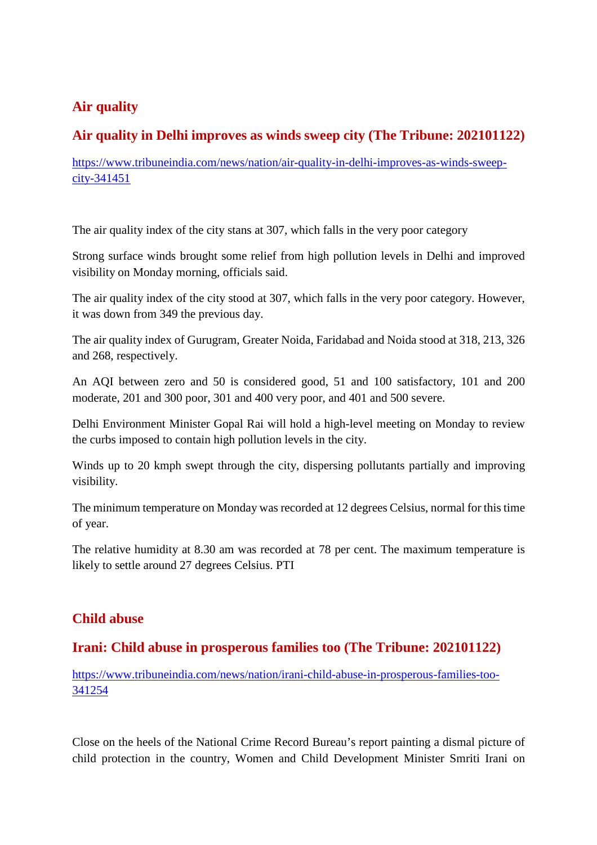# **Air quality**

# **Air quality in Delhi improves as winds sweep city (The Tribune: 202101122)**

https://www.tribuneindia.com/news/nation/air-quality-in-delhi-improves-as-winds-sweepcity-341451

The air quality index of the city stans at 307, which falls in the very poor category

Strong surface winds brought some relief from high pollution levels in Delhi and improved visibility on Monday morning, officials said.

The air quality index of the city stood at 307, which falls in the very poor category. However, it was down from 349 the previous day.

The air quality index of Gurugram, Greater Noida, Faridabad and Noida stood at 318, 213, 326 and 268, respectively.

An AQI between zero and 50 is considered good, 51 and 100 satisfactory, 101 and 200 moderate, 201 and 300 poor, 301 and 400 very poor, and 401 and 500 severe.

Delhi Environment Minister Gopal Rai will hold a high-level meeting on Monday to review the curbs imposed to contain high pollution levels in the city.

Winds up to 20 kmph swept through the city, dispersing pollutants partially and improving visibility.

The minimum temperature on Monday was recorded at 12 degrees Celsius, normal for this time of year.

The relative humidity at 8.30 am was recorded at 78 per cent. The maximum temperature is likely to settle around 27 degrees Celsius. PTI

# **Child abuse**

## **Irani: Child abuse in prosperous families too (The Tribune: 202101122)**

https://www.tribuneindia.com/news/nation/irani-child-abuse-in-prosperous-families-too-341254

Close on the heels of the National Crime Record Bureau's report painting a dismal picture of child protection in the country, Women and Child Development Minister Smriti Irani on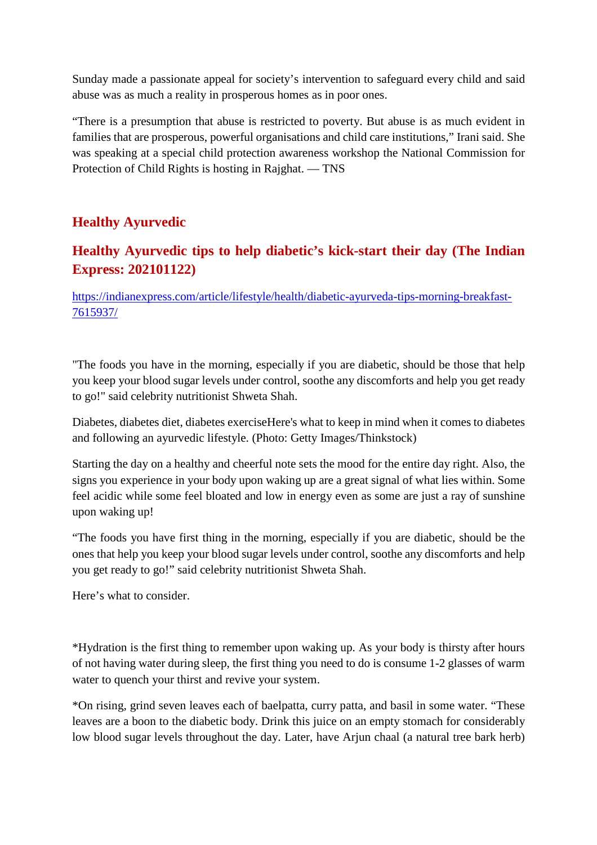Sunday made a passionate appeal for society's intervention to safeguard every child and said abuse was as much a reality in prosperous homes as in poor ones.

"There is a presumption that abuse is restricted to poverty. But abuse is as much evident in families that are prosperous, powerful organisations and child care institutions," Irani said. She was speaking at a special child protection awareness workshop the National Commission for Protection of Child Rights is hosting in Rajghat. — TNS

# **Healthy Ayurvedic**

# **Healthy Ayurvedic tips to help diabetic's kick-start their day (The Indian Express: 202101122)**

https://indianexpress.com/article/lifestyle/health/diabetic-ayurveda-tips-morning-breakfast-7615937/

"The foods you have in the morning, especially if you are diabetic, should be those that help you keep your blood sugar levels under control, soothe any discomforts and help you get ready to go!" said celebrity nutritionist Shweta Shah.

Diabetes, diabetes diet, diabetes exerciseHere's what to keep in mind when it comes to diabetes and following an ayurvedic lifestyle. (Photo: Getty Images/Thinkstock)

Starting the day on a healthy and cheerful note sets the mood for the entire day right. Also, the signs you experience in your body upon waking up are a great signal of what lies within. Some feel acidic while some feel bloated and low in energy even as some are just a ray of sunshine upon waking up!

"The foods you have first thing in the morning, especially if you are diabetic, should be the ones that help you keep your blood sugar levels under control, soothe any discomforts and help you get ready to go!" said celebrity nutritionist Shweta Shah.

Here's what to consider.

\*Hydration is the first thing to remember upon waking up. As your body is thirsty after hours of not having water during sleep, the first thing you need to do is consume 1-2 glasses of warm water to quench your thirst and revive your system.

\*On rising, grind seven leaves each of baelpatta, curry patta, and basil in some water. "These leaves are a boon to the diabetic body. Drink this juice on an empty stomach for considerably low blood sugar levels throughout the day. Later, have Arjun chaal (a natural tree bark herb)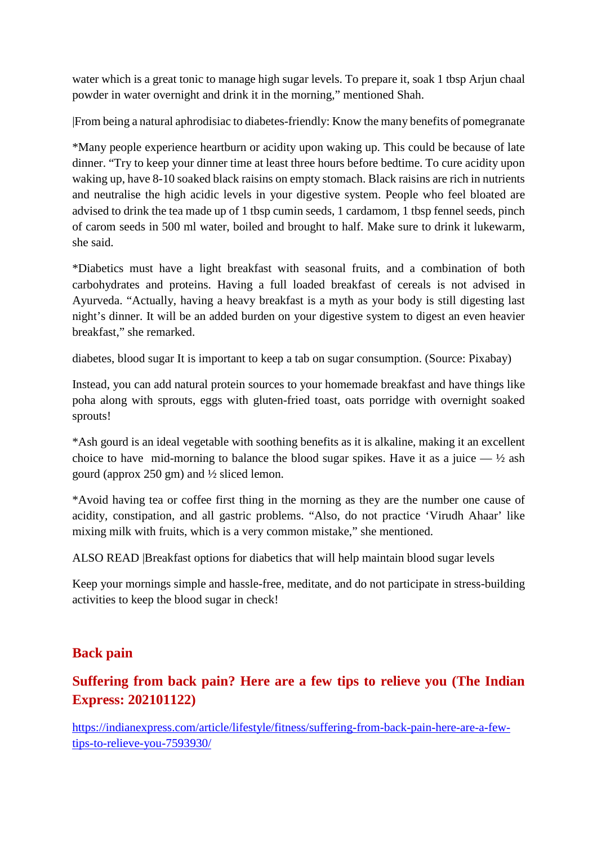water which is a great tonic to manage high sugar levels. To prepare it, soak 1 tbsp Arjun chaal powder in water overnight and drink it in the morning," mentioned Shah.

|From being a natural aphrodisiac to diabetes-friendly: Know the many benefits of pomegranate

\*Many people experience heartburn or acidity upon waking up. This could be because of late dinner. "Try to keep your dinner time at least three hours before bedtime. To cure acidity upon waking up, have 8-10 soaked black raisins on empty stomach. Black raisins are rich in nutrients and neutralise the high acidic levels in your digestive system. People who feel bloated are advised to drink the tea made up of 1 tbsp cumin seeds, 1 cardamom, 1 tbsp fennel seeds, pinch of carom seeds in 500 ml water, boiled and brought to half. Make sure to drink it lukewarm, she said.

\*Diabetics must have a light breakfast with seasonal fruits, and a combination of both carbohydrates and proteins. Having a full loaded breakfast of cereals is not advised in Ayurveda. "Actually, having a heavy breakfast is a myth as your body is still digesting last night's dinner. It will be an added burden on your digestive system to digest an even heavier breakfast," she remarked.

diabetes, blood sugar It is important to keep a tab on sugar consumption. (Source: Pixabay)

Instead, you can add natural protein sources to your homemade breakfast and have things like poha along with sprouts, eggs with gluten-fried toast, oats porridge with overnight soaked sprouts!

\*Ash gourd is an ideal vegetable with soothing benefits as it is alkaline, making it an excellent choice to have mid-morning to balance the blood sugar spikes. Have it as a juice  $\frac{1}{2}$  ash gourd (approx 250 gm) and ½ sliced lemon.

\*Avoid having tea or coffee first thing in the morning as they are the number one cause of acidity, constipation, and all gastric problems. "Also, do not practice 'Virudh Ahaar' like mixing milk with fruits, which is a very common mistake," she mentioned.

ALSO READ |Breakfast options for diabetics that will help maintain blood sugar levels

Keep your mornings simple and hassle-free, meditate, and do not participate in stress-building activities to keep the blood sugar in check!

## **Back pain**

# **Suffering from back pain? Here are a few tips to relieve you (The Indian Express: 202101122)**

https://indianexpress.com/article/lifestyle/fitness/suffering-from-back-pain-here-are-a-fewtips-to-relieve-you-7593930/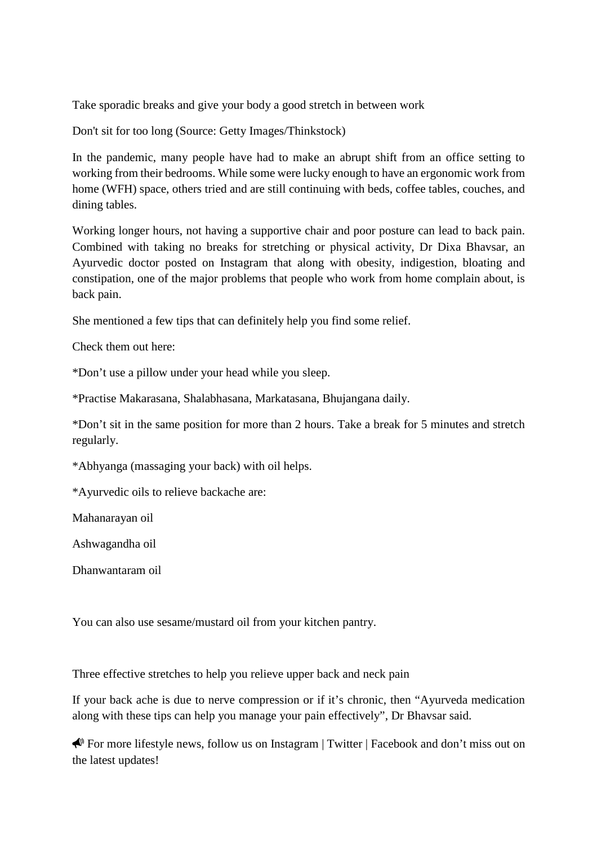Take sporadic breaks and give your body a good stretch in between work

Don't sit for too long (Source: Getty Images/Thinkstock)

In the pandemic, many people have had to make an abrupt shift from an office setting to working from their bedrooms. While some were lucky enough to have an ergonomic work from home (WFH) space, others tried and are still continuing with beds, coffee tables, couches, and dining tables.

Working longer hours, not having a supportive chair and poor posture can lead to back pain. Combined with taking no breaks for stretching or physical activity, Dr Dixa Bhavsar, an Ayurvedic doctor posted on Instagram that along with obesity, indigestion, bloating and constipation, one of the major problems that people who work from home complain about, is back pain.

She mentioned a few tips that can definitely help you find some relief.

Check them out here:

\*Don't use a pillow under your head while you sleep.

\*Practise Makarasana, Shalabhasana, Markatasana, Bhujangana daily.

\*Don't sit in the same position for more than 2 hours. Take a break for 5 minutes and stretch regularly.

\*Abhyanga (massaging your back) with oil helps.

\*Ayurvedic oils to relieve backache are:

Mahanarayan oil

Ashwagandha oil

Dhanwantaram oil

You can also use sesame/mustard oil from your kitchen pantry.

Three effective stretches to help you relieve upper back and neck pain

If your back ache is due to nerve compression or if it's chronic, then "Ayurveda medication along with these tips can help you manage your pain effectively", Dr Bhavsar said.

 For more lifestyle news, follow us on Instagram | Twitter | Facebook and don't miss out on the latest updates!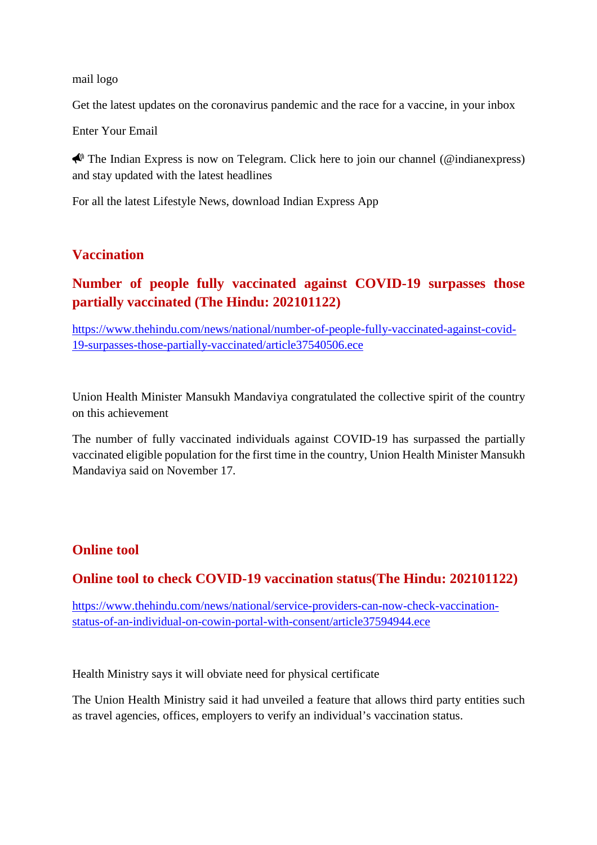#### mail logo

Get the latest updates on the coronavirus pandemic and the race for a vaccine, in your inbox

Enter Your Email

 $\bigotimes$  The Indian Express is now on Telegram. Click here to join our channel (@indianexpress) and stay updated with the latest headlines

For all the latest Lifestyle News, download Indian Express App

## **Vaccination**

# **Number of people fully vaccinated against COVID-19 surpasses those partially vaccinated (The Hindu: 202101122)**

https://www.thehindu.com/news/national/number-of-people-fully-vaccinated-against-covid-19-surpasses-those-partially-vaccinated/article37540506.ece

Union Health Minister Mansukh Mandaviya congratulated the collective spirit of the country on this achievement

The number of fully vaccinated individuals against COVID-19 has surpassed the partially vaccinated eligible population for the first time in the country, Union Health Minister Mansukh Mandaviya said on November 17.

## **Online tool**

## **Online tool to check COVID-19 vaccination status(The Hindu: 202101122)**

https://www.thehindu.com/news/national/service-providers-can-now-check-vaccinationstatus-of-an-individual-on-cowin-portal-with-consent/article37594944.ece

Health Ministry says it will obviate need for physical certificate

The Union Health Ministry said it had unveiled a feature that allows third party entities such as travel agencies, offices, employers to verify an individual's vaccination status.